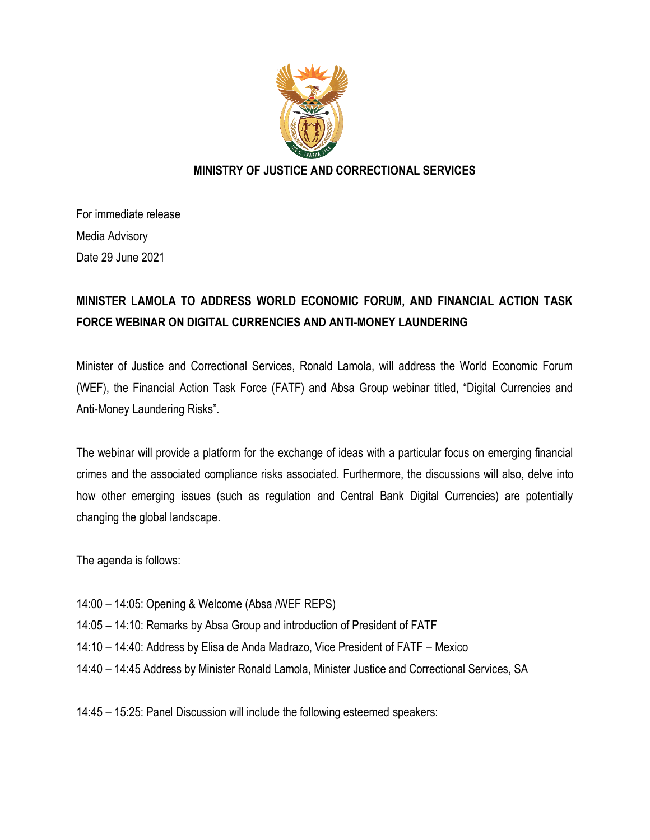

## **MINISTRY OF JUSTICE AND CORRECTIONAL SERVICES**

For immediate release Media Advisory Date 29 June 2021

## **MINISTER LAMOLA TO ADDRESS WORLD ECONOMIC FORUM, AND FINANCIAL ACTION TASK FORCE WEBINAR ON DIGITAL CURRENCIES AND ANTI-MONEY LAUNDERING**

Minister of Justice and Correctional Services, Ronald Lamola, will address the World Economic Forum (WEF), the Financial Action Task Force (FATF) and Absa Group webinar titled, "Digital Currencies and Anti-Money Laundering Risks".

The webinar will provide a platform for the exchange of ideas with a particular focus on emerging financial crimes and the associated compliance risks associated. Furthermore, the discussions will also, delve into how other emerging issues (such as regulation and Central Bank Digital Currencies) are potentially changing the global landscape.

The agenda is follows:

- 14:00 14:05: Opening & Welcome (Absa /WEF REPS)
- 14:05 14:10: Remarks by Absa Group and introduction of President of FATF
- 14:10 14:40: Address by Elisa de Anda Madrazo, Vice President of FATF Mexico
- 14:40 14:45 Address by Minister Ronald Lamola, Minister Justice and Correctional Services, SA

14:45 – 15:25: Panel Discussion will include the following esteemed speakers: